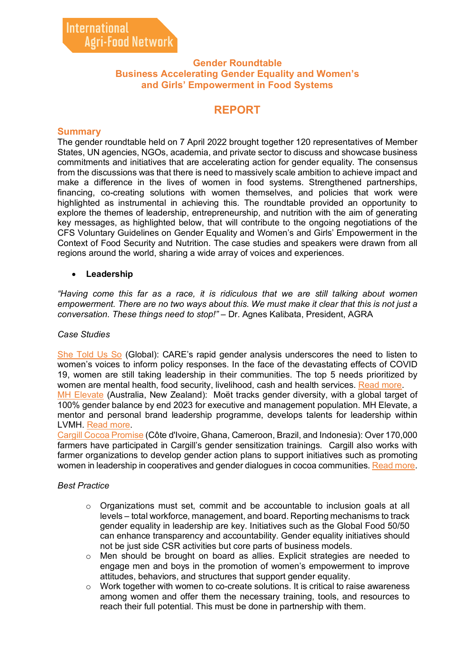# **Gender Roundtable Business Accelerating Gender Equality and Women's and Girls' Empowerment in Food Systems**

# **REPORT**

# **Summary**

The gender roundtable held on 7 April 2022 brought together 120 representatives of Member States, UN agencies, NGOs, academia, and private sector to discuss and showcase business commitments and initiatives that are accelerating action for gender equality. The consensus from the discussions was that there is need to massively scale ambition to achieve impact and make a difference in the lives of women in food systems. Strengthened partnerships, financing, co-creating solutions with women themselves, and policies that work were highlighted as instrumental in achieving this. The roundtable provided an opportunity to explore the themes of leadership, entrepreneurship, and nutrition with the aim of generating key messages, as highlighted below, that will contribute to the ongoing negotiations of the CFS Voluntary Guidelines on Gender Equality and Women's and Girls' Empowerment in the Context of Food Security and Nutrition. The case studies and speakers were drawn from all regions around the world, sharing a wide array of voices and experiences.

# • **Leadership**

*"Having come this far as a race, it is ridiculous that we are still talking about women empowerment. There are no two ways about this. We must make it clear that this is not just a conversation. These things need to stop!"* – Dr. Agnes Kalibata, President, AGRA

#### *Case Studies*

[She Told Us So](https://youtu.be/QqBrGD6SyOA) (Global): CARE's rapid gender analysis underscores the need to listen to women's voices to inform policy responses. In the face of the devastating effects of COVID 19, women are still taking leadership in their communities. The top 5 needs prioritized by women are mental health, food security, livelihood, cash and health services. [Read more.](https://agrifood.net/documents/women-s-empowerment/463-care-case-study-she-told-us-so/file)

[MH Elevate](https://youtu.be/tgney6Kaazw) (Australia, New Zealand): Moët tracks gender diversity, with a global target of 100% gender balance by end 2023 for executive and management population. MH Elevate, a mentor and personal brand leadership programme, develops talents for leadership within LVMH. [Read more.](https://agrifood.net/documents/women-s-empowerment/462-moet-hennessy-case-study-mh-elevate/file)

[Cargill Cocoa Promise](https://youtu.be/DR7LDGZXfIw) (Côte d'Ivoire, Ghana, Cameroon, Brazil, and Indonesia): Over 170,000 farmers have participated in Cargill's gender sensitization trainings. Cargill also works with farmer organizations to develop gender action plans to support initiatives such as promoting women in leadership in cooperatives and gender dialogues in cocoa communities. [Read more.](https://agrifood.net/documents/women-s-empowerment/461-cargill-case-study-efforts-to-champion-the-role-women-play-in-cocoa-growing-communities/file)

#### *Best Practice*

- o Organizations must set, commit and be accountable to inclusion goals at all levels – total workforce, management, and board. Reporting mechanisms to track gender equality in leadership are key. Initiatives such as the Global Food 50/50 can enhance transparency and accountability. Gender equality initiatives should not be just side CSR activities but core parts of business models.
- $\circ$  Men should be brought on board as allies. Explicit strategies are needed to engage men and boys in the promotion of women's empowerment to improve attitudes, behaviors, and structures that support gender equality.
- $\circ$  Work together with women to co-create solutions. It is critical to raise awareness among women and offer them the necessary training, tools, and resources to reach their full potential. This must be done in partnership with them.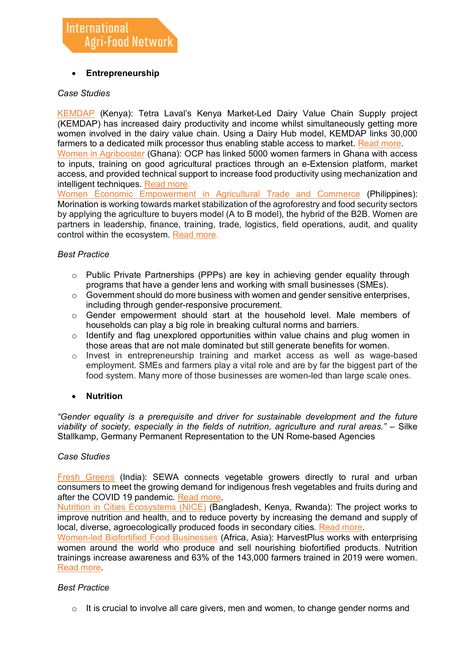# • **Entrepreneurship**

#### *Case Studies*

[KEMDAP](https://youtu.be/JIeLVTPYpqU) (Kenya): Tetra Laval's Kenya Market-Led Dairy Value Chain Supply project (KEMDAP) has increased dairy productivity and income whilst simultaneously getting more women involved in the dairy value chain. Using a Dairy Hub model, KEMDAP links 30,000 farmers to a dedicated milk processor thus enabling stable access to market. [Read more.](https://www.tetrapak.com/insights/cases-articles/improving-livelihoods-in-Kenya)

[Women in Agribooster](https://youtu.be/NLwtP2mhw7g) (Ghana): OCP has linked 5000 women farmers in Ghana with access to inputs, training on good agricultural practices through an e-Extension platform, market access, and provided technical support to increase food productivity using mechanization and intelligent techniques. [Read more.](https://agrifood.net/documents/women-s-empowerment/460-ocp-case-study-impactful-women-empowerment-programs/file)

[Women Economic Empowerment in Agricultural Trade and Commerce](https://youtu.be/_HF-gSMZ1Ag) (Philippines): Morination is working towards market stabilization of the agroforestry and food security sectors by applying the agriculture to buyers model (A to B model), the hybrid of the B2B. Women are partners in leadership, finance, training, trade, logistics, field operations, audit, and quality control within the ecosystem. [Read more.](https://agrifood.net/documents/women-s-empowerment/459-morination-case-study-women-economic-empowerment-in-agricultural-trade-and-commerce/file)

#### *Best Practice*

- $\circ$  Public Private Partnerships (PPPs) are key in achieving gender equality through programs that have a gender lens and working with small businesses (SMEs).
- $\circ$  Government should do more business with women and gender sensitive enterprises, including through gender-responsive procurement.
- $\circ$  Gender empowerment should start at the household level. Male members of households can play a big role in breaking cultural norms and barriers.
- $\circ$  Identify and flag unexplored opportunities within value chains and plug women in those areas that are not male dominated but still generate benefits for women.
- $\circ$  Invest in entrepreneurship training and market access as well as wage-based employment. SMEs and farmers play a vital role and are by far the biggest part of the food system. Many more of those businesses are women-led than large scale ones.

#### • **Nutrition**

*"Gender equality is a prerequisite and driver for sustainable development and the future viability of society, especially in the fields of nutrition, agriculture and rural areas." –* Silke Stallkamp, Germany Permanent Representation to the UN Rome-based Agencies

#### *Case Studies*

[Fresh Greens](https://youtu.be/KntqDoej0Ps) (India): SEWA connects vegetable growers directly to rural and urban consumers to meet the growing demand for indigenous fresh vegetables and fruits during and after the COVID 19 pandemic. [Read more.](https://agrifood.net/documents/women-s-empowerment/465-sewa-case-study-transforming-smallholder-farmers-and-landless-laborers/file)

[Nutrition in Cities Ecosystems \(NICE\)](https://youtu.be/Zp38HAAA-FM) (Bangladesh, Kenya, Rwanda): The project works to improve nutrition and health, and to reduce poverty by increasing the demand and supply of local, diverse, agroecologically produced foods in secondary cities. [Read more.](https://agrifood.net/documents/women-s-empowerment/464-nice-case-study-the-nice-project/file)

[Women-led Biofortified Food Businesses](https://youtu.be/_f7Nnwc66RQ) (Africa, Asia): HarvestPlus works with enterprising women around the world who produce and sell nourishing biofortified products. Nutrition trainings increase awareness and 63% of the 143,000 farmers trained in 2019 were women. [Read more.](https://www.harvestplus.org/women-led-biofortified-food-businesses-advancing-nutrition-and-health/)

#### *Best Practice*

 $\circ$  It is crucial to involve all care givers, men and women, to change gender norms and